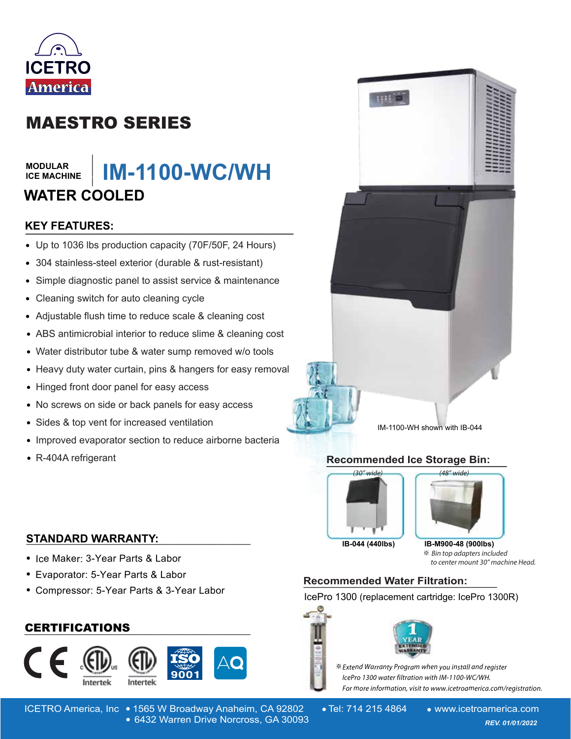

# MAESTRO SERIES

#### **MODULAR ICE MACHINE**

## **\_\_\_\_\_\_\_ IM-1100-WC/WH WATER COOLED**

# **KEY FEATURES: \_\_\_\_\_\_\_\_\_\_\_\_\_\_\_\_\_\_\_\_\_\_\_\_\_\_\_\_\_\_**

- Up to 1036 lbs production capacity (70F/50F, 24 Hours)
- 304 stainless-steel exterior (durable & rust-resistant)
- Simple diagnostic panel to assist service & maintenance  $\bullet$
- Cleaning switch for auto cleaning cycle
- Adjustable flush time to reduce scale & cleaning cost
- ABS antimicrobial interior to reduce slime & cleaning cost
- Water distributor tube & water sump removed w/o tools
- Heavy duty water curtain, pins & hangers for easy removal
- Hinged front door panel for easy access
- No screws on side or back panels for easy access  $\bullet$
- Sides & top vent for increased ventilation  $\bullet$
- Improved evaporator section to reduce airborne bacteria
- R-404A refrigerant

IM-1100-WH shown with IB-044

#### **Recommended Ice Storage Bin: \_\_\_\_\_\_\_\_\_\_\_\_\_\_\_\_\_\_\_\_\_\_\_\_\_\_\_\_\_\_\_\_\_\_\_\_\_\_**



**IB-044 (440lbs) IB-M900-48 (900lbs)**

※ Bin top adapters included to center mount 30" machine Head.

#### **STANDARD WARRANTY: \_\_\_\_\_\_\_\_\_\_\_\_\_\_\_\_\_\_\_\_\_\_\_\_\_\_\_\_\_\_\_\_\_\_\_\_\_\_\_\_**

- Ice Maker: 3-Year Parts & Labor
- Evaporator: 5-Year Parts & Labor
- Compressor: 5-Year Parts & 3-Year Labor

## **\_\_\_\_\_\_\_\_\_\_\_\_\_\_\_\_\_\_\_\_\_\_\_\_\_\_\_\_\_\_\_\_\_\_\_\_\_\_\_\_** CERTIFICATIONS



ICETRO America, Inc • 1565 W Broadway Anaheim, CA 92802 • Tel: 714 215 4864 • www.icetroamerica.com 6432 Warren Drive Norcross, GA 30093 *REV. 01/01/2022* 6432 Warren Drive Norcross, GA 30093

# **Recommended Water Filtration: \_\_\_\_\_\_\_\_\_\_\_\_\_\_\_\_\_\_\_**

IcePro 1300 (replacement cartridge: IcePro 1300R)



**※** Extend Warranty Program when you install and register lcePro 1300 water filtration with IM-1100-WC/WH. For more information, visit to www.icetroamerica.com/registration.